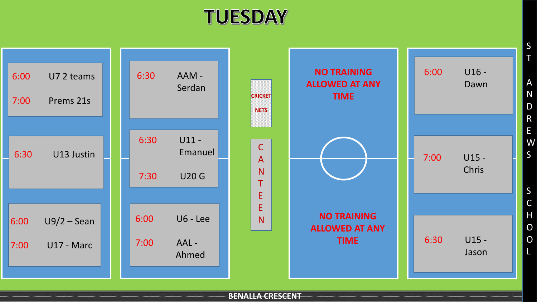## **TUESDAY**



**BENALLA CRESCENT**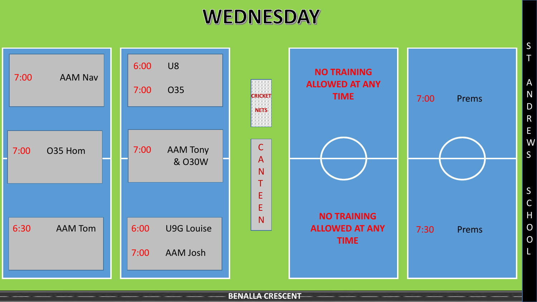## **WEDNESDAY**



**BENALLA CRESCENT**